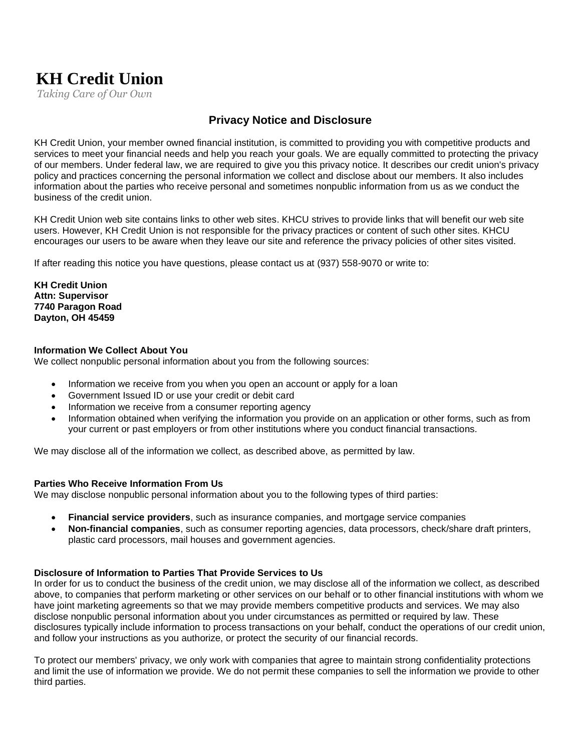# **KH Credit Union**

*Taking Care of Our Own*

# **Privacy Notice and Disclosure**

KH Credit Union, your member owned financial institution, is committed to providing you with competitive products and services to meet your financial needs and help you reach your goals. We are equally committed to protecting the privacy of our members. Under federal law, we are required to give you this privacy notice. It describes our credit union's privacy policy and practices concerning the personal information we collect and disclose about our members. It also includes information about the parties who receive personal and sometimes nonpublic information from us as we conduct the business of the credit union.

KH Credit Union web site contains links to other web sites. KHCU strives to provide links that will benefit our web site users. However, KH Credit Union is not responsible for the privacy practices or content of such other sites. KHCU encourages our users to be aware when they leave our site and reference the privacy policies of other sites visited.

If after reading this notice you have questions, please contact us at (937) 558-9070 or write to:

**KH Credit Union Attn: Supervisor 7740 Paragon Road Dayton, OH 45459**

#### **Information We Collect About You**

We collect nonpublic personal information about you from the following sources:

- Information we receive from you when you open an account or apply for a loan
- Government Issued ID or use your credit or debit card
- Information we receive from a consumer reporting agency
- Information obtained when verifying the information you provide on an application or other forms, such as from your current or past employers or from other institutions where you conduct financial transactions.

We may disclose all of the information we collect, as described above, as permitted by law.

#### **Parties Who Receive Information From Us**

We may disclose nonpublic personal information about you to the following types of third parties:

- **Financial service providers**, such as insurance companies, and mortgage service companies
- **Non-financial companies**, such as consumer reporting agencies, data processors, check/share draft printers, plastic card processors, mail houses and government agencies.

#### **Disclosure of Information to Parties That Provide Services to Us**

In order for us to conduct the business of the credit union, we may disclose all of the information we collect, as described above, to companies that perform marketing or other services on our behalf or to other financial institutions with whom we have joint marketing agreements so that we may provide members competitive products and services. We may also disclose nonpublic personal information about you under circumstances as permitted or required by law. These disclosures typically include information to process transactions on your behalf, conduct the operations of our credit union, and follow your instructions as you authorize, or protect the security of our financial records.

To protect our members' privacy, we only work with companies that agree to maintain strong confidentiality protections and limit the use of information we provide. We do not permit these companies to sell the information we provide to other third parties.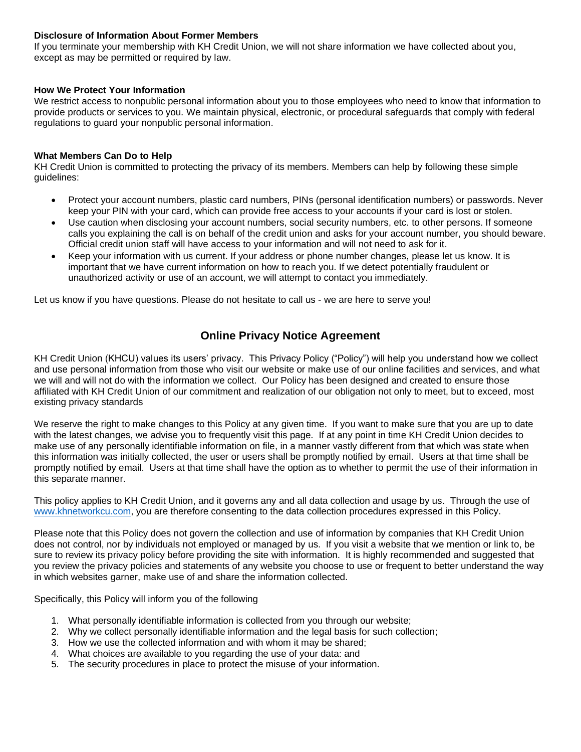# **Disclosure of Information About Former Members**

If you terminate your membership with KH Credit Union, we will not share information we have collected about you, except as may be permitted or required by law.

## **How We Protect Your Information**

We restrict access to nonpublic personal information about you to those employees who need to know that information to provide products or services to you. We maintain physical, electronic, or procedural safeguards that comply with federal regulations to guard your nonpublic personal information.

# **What Members Can Do to Help**

KH Credit Union is committed to protecting the privacy of its members. Members can help by following these simple guidelines:

- Protect your account numbers, plastic card numbers, PINs (personal identification numbers) or passwords. Never keep your PIN with your card, which can provide free access to your accounts if your card is lost or stolen.
- Use caution when disclosing your account numbers, social security numbers, etc. to other persons. If someone calls you explaining the call is on behalf of the credit union and asks for your account number, you should beware. Official credit union staff will have access to your information and will not need to ask for it.
- Keep your information with us current. If your address or phone number changes, please let us know. It is important that we have current information on how to reach you. If we detect potentially fraudulent or unauthorized activity or use of an account, we will attempt to contact you immediately.

Let us know if you have questions. Please do not hesitate to call us - we are here to serve you!

# **Online Privacy Notice Agreement**

KH Credit Union (KHCU) values its users' privacy. This Privacy Policy ("Policy") will help you understand how we collect and use personal information from those who visit our website or make use of our online facilities and services, and what we will and will not do with the information we collect. Our Policy has been designed and created to ensure those affiliated with KH Credit Union of our commitment and realization of our obligation not only to meet, but to exceed, most existing privacy standards

We reserve the right to make changes to this Policy at any given time. If you want to make sure that you are up to date with the latest changes, we advise you to frequently visit this page. If at any point in time KH Credit Union decides to make use of any personally identifiable information on file, in a manner vastly different from that which was state when this information was initially collected, the user or users shall be promptly notified by email. Users at that time shall be promptly notified by email. Users at that time shall have the option as to whether to permit the use of their information in this separate manner.

This policy applies to KH Credit Union, and it governs any and all data collection and usage by us. Through the use of [www.khnetworkcu.com,](http://www.khnetworkcu.com/) you are therefore consenting to the data collection procedures expressed in this Policy.

Please note that this Policy does not govern the collection and use of information by companies that KH Credit Union does not control, nor by individuals not employed or managed by us. If you visit a website that we mention or link to, be sure to review its privacy policy before providing the site with information. It is highly recommended and suggested that you review the privacy policies and statements of any website you choose to use or frequent to better understand the way in which websites garner, make use of and share the information collected.

Specifically, this Policy will inform you of the following

- 1. What personally identifiable information is collected from you through our website;
- 2. Why we collect personally identifiable information and the legal basis for such collection;
- 3. How we use the collected information and with whom it may be shared;
- 4. What choices are available to you regarding the use of your data: and
- 5. The security procedures in place to protect the misuse of your information.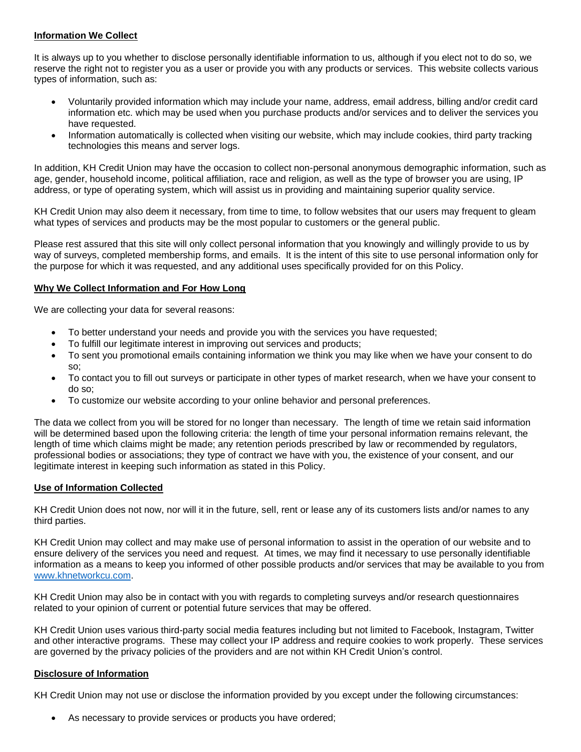# **Information We Collect**

It is always up to you whether to disclose personally identifiable information to us, although if you elect not to do so, we reserve the right not to register you as a user or provide you with any products or services. This website collects various types of information, such as:

- Voluntarily provided information which may include your name, address, email address, billing and/or credit card information etc. which may be used when you purchase products and/or services and to deliver the services you have requested.
- Information automatically is collected when visiting our website, which may include cookies, third party tracking technologies this means and server logs.

In addition, KH Credit Union may have the occasion to collect non-personal anonymous demographic information, such as age, gender, household income, political affiliation, race and religion, as well as the type of browser you are using, IP address, or type of operating system, which will assist us in providing and maintaining superior quality service.

KH Credit Union may also deem it necessary, from time to time, to follow websites that our users may frequent to gleam what types of services and products may be the most popular to customers or the general public.

Please rest assured that this site will only collect personal information that you knowingly and willingly provide to us by way of surveys, completed membership forms, and emails. It is the intent of this site to use personal information only for the purpose for which it was requested, and any additional uses specifically provided for on this Policy.

#### **Why We Collect Information and For How Long**

We are collecting your data for several reasons:

- To better understand your needs and provide you with the services you have requested;
- To fulfill our legitimate interest in improving out services and products;
- To sent you promotional emails containing information we think you may like when we have your consent to do so;
- To contact you to fill out surveys or participate in other types of market research, when we have your consent to do so;
- To customize our website according to your online behavior and personal preferences.

The data we collect from you will be stored for no longer than necessary. The length of time we retain said information will be determined based upon the following criteria: the length of time your personal information remains relevant, the length of time which claims might be made; any retention periods prescribed by law or recommended by regulators, professional bodies or associations; they type of contract we have with you, the existence of your consent, and our legitimate interest in keeping such information as stated in this Policy.

#### **Use of Information Collected**

KH Credit Union does not now, nor will it in the future, sell, rent or lease any of its customers lists and/or names to any third parties.

KH Credit Union may collect and may make use of personal information to assist in the operation of our website and to ensure delivery of the services you need and request. At times, we may find it necessary to use personally identifiable information as a means to keep you informed of other possible products and/or services that may be available to you from [www.khnetworkcu.com.](http://www.khnetworkcu.com/)

KH Credit Union may also be in contact with you with regards to completing surveys and/or research questionnaires related to your opinion of current or potential future services that may be offered.

KH Credit Union uses various third-party social media features including but not limited to Facebook, Instagram, Twitter and other interactive programs. These may collect your IP address and require cookies to work properly. These services are governed by the privacy policies of the providers and are not within KH Credit Union's control.

#### **Disclosure of Information**

KH Credit Union may not use or disclose the information provided by you except under the following circumstances:

As necessary to provide services or products you have ordered;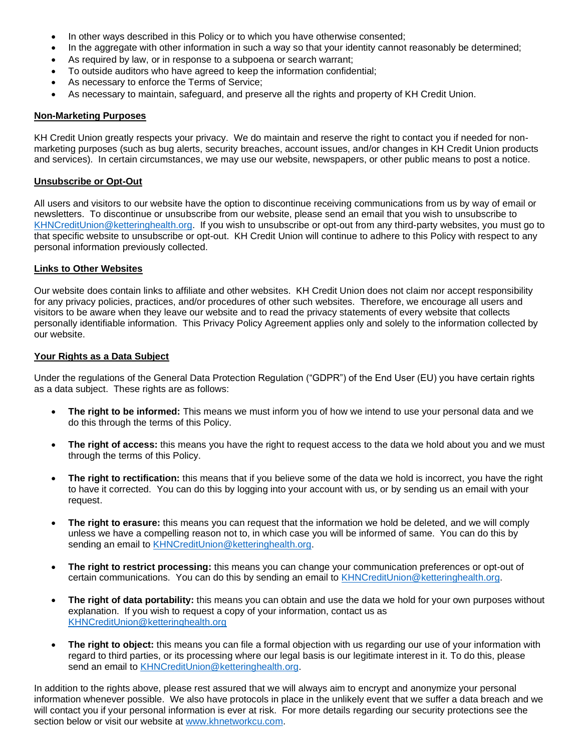- In other ways described in this Policy or to which you have otherwise consented;
- In the aggregate with other information in such a way so that your identity cannot reasonably be determined;
- As required by law, or in response to a subpoena or search warrant;
- To outside auditors who have agreed to keep the information confidential;
- As necessary to enforce the Terms of Service;
- As necessary to maintain, safeguard, and preserve all the rights and property of KH Credit Union.

#### **Non-Marketing Purposes**

KH Credit Union greatly respects your privacy. We do maintain and reserve the right to contact you if needed for nonmarketing purposes (such as bug alerts, security breaches, account issues, and/or changes in KH Credit Union products and services). In certain circumstances, we may use our website, newspapers, or other public means to post a notice.

#### **Unsubscribe or Opt-Out**

All users and visitors to our website have the option to discontinue receiving communications from us by way of email or newsletters. To discontinue or unsubscribe from our website, please send an email that you wish to unsubscribe to [KHNCreditUnion@ketteringhealth.org.](mailto:KHNCreditUnion@ketteringhealth.org) If you wish to unsubscribe or opt-out from any third-party websites, you must go to that specific website to unsubscribe or opt-out. KH Credit Union will continue to adhere to this Policy with respect to any personal information previously collected.

#### **Links to Other Websites**

Our website does contain links to affiliate and other websites. KH Credit Union does not claim nor accept responsibility for any privacy policies, practices, and/or procedures of other such websites. Therefore, we encourage all users and visitors to be aware when they leave our website and to read the privacy statements of every website that collects personally identifiable information. This Privacy Policy Agreement applies only and solely to the information collected by our website.

#### **Your Rights as a Data Subject**

Under the regulations of the General Data Protection Regulation ("GDPR") of the End User (EU) you have certain rights as a data subject. These rights are as follows:

- **The right to be informed:** This means we must inform you of how we intend to use your personal data and we do this through the terms of this Policy.
- **The right of access:** this means you have the right to request access to the data we hold about you and we must through the terms of this Policy.
- **The right to rectification:** this means that if you believe some of the data we hold is incorrect, you have the right to have it corrected. You can do this by logging into your account with us, or by sending us an email with your request.
- **The right to erasure:** this means you can request that the information we hold be deleted, and we will comply unless we have a compelling reason not to, in which case you will be informed of same. You can do this by sending an email to [KHNCreditUnion@ketteringhealth.org.](mailto:KHNCreditUnion@ketteringhealth.org)
- **The right to restrict processing:** this means you can change your communication preferences or opt-out of certain communications. You can do this by sending an email to [KHNCreditUnion@ketteringhealth.org.](mailto:KHNCreditUnion@ketteringhealth.org)
- **The right of data portability:** this means you can obtain and use the data we hold for your own purposes without explanation. If you wish to request a copy of your information, contact us as [KHNCreditUnion@ketteringhealth.org](mailto:KHNCreditUnion@ketteringhealth.org)
- **The right to object:** this means you can file a formal objection with us regarding our use of your information with regard to third parties, or its processing where our legal basis is our legitimate interest in it. To do this, please send an email to [KHNCreditUnion@ketteringhealth.org.](mailto:KHNCreditUnion@ketteringhealth.org)

In addition to the rights above, please rest assured that we will always aim to encrypt and anonymize your personal information whenever possible. We also have protocols in place in the unlikely event that we suffer a data breach and we will contact you if your personal information is ever at risk. For more details regarding our security protections see the section below or visit our website at [www.khnetworkcu.com.](http://www.khnetworkcu.com/)